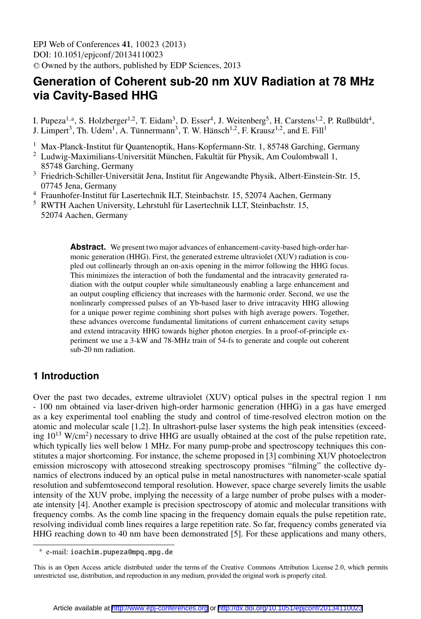EPJ Web of Conferences , **41** 10023 (2013) DOI: 10.1051/epjconf/20134110023 <sup>C</sup> Owned by the authors, published by EDP Sciences, 2013

# **Generation of Coherent sub-20 nm XUV Radiation at 78 MHz via Cavity-Based HHG**

I. Pupeza<sup>1,a</sup>, S. Holzberger<sup>1,2</sup>, T. Eidam<sup>3</sup>, D. Esser<sup>4</sup>, J. Weitenberg<sup>5</sup>, H. Carstens<sup>1,2</sup>, P. Rußbüldt<sup>4</sup>, J. Limpert<sup>3</sup>, Th. Udem<sup>1</sup>, A. Tünnermann<sup>3</sup>, T. W. Hänsch<sup>1,2</sup>, F. Krausz<sup>1,2</sup>, and E. Fill<sup>1</sup>

- <sup>1</sup> Max-Planck-Institut für Quantenoptik, Hans-Kopfermann-Str. 1, 85748 Garching, Germany <sup>2</sup> Ludwig-Maximilians-Universität München, Fakultät für Physik, Am Coulombwall 1
- Ludwig-Maximilians-Universität München, Fakultät für Physik, Am Coulombwall 1, 85748 Garching, Germany
- <sup>3</sup> Friedrich-Schiller-Universität Jena, Institut für Angewandte Physik, Albert-Einstein-Str. 15, 07745 Jena, Germany
- <sup>4</sup> Fraunhofer-Institut für Lasertechnik ILT, Steinbachstr. 15, 52074 Aachen, Germany
- $5$  RWTH Aachen University, Lehrstuhl für Lasertechnik LLT, Steinbachstr. 15, 52074 Aachen, Germany

**Abstract.** We present two major advances of enhancement-cavity-based high-order harmonic generation (HHG). First, the generated extreme ultraviolet (XUV) radiation is coupled out collinearly through an on-axis opening in the mirror following the HHG focus. This minimizes the interaction of both the fundamental and the intracavity generated radiation with the output coupler while simultaneously enabling a large enhancement and an output coupling efficiency that increases with the harmonic order. Second, we use the nonlinearly compressed pulses of an Yb-based laser to drive intracavity HHG allowing for a unique power regime combining short pulses with high average powers. Together, these advances overcome fundamental limitations of current enhancement cavity setups and extend intracavity HHG towards higher photon energies. In a proof-of-principle experiment we use a 3-kW and 78-MHz train of 54-fs to generate and couple out coherent sub-20 nm radiation.

## **1 Introduction**

Over the past two decades, extreme ultraviolet (XUV) optical pulses in the spectral region 1 nm - 100 nm obtained via laser-driven high-order harmonic generation (HHG) in a gas have emerged as a key experimental tool enabling the study and control of time-resolved electron motion on the atomic and molecular scale [1,2]. In ultrashort-pulse laser systems the high peak intensities (exceeding  $10^{13}$  W/cm<sup>2</sup>) necessary to drive HHG are usually obtained at the cost of the pulse repetition rate, which typically lies well below 1 MHz. For many pump-probe and spectroscopy techniques this constitutes a major shortcoming. For instance, the scheme proposed in [3] combining XUV photoelectron emission microscopy with attosecond streaking spectroscopy promises "filming" the collective dynamics of electrons induced by an optical pulse in metal nanostructures with nanometer-scale spatial resolution and subfemtosecond temporal resolution. However, space charge severely limits the usable intensity of the XUV probe, implying the necessity of a large number of probe pulses with a moderate intensity [4]. Another example is precision spectroscopy of atomic and molecular transitions with frequency combs. As the comb line spacing in the frequency domain equals the pulse repetition rate, resolving individual comb lines requires a large repetition rate. So far, frequency combs generated via HHG reaching down to 40 nm have been demonstrated [5]. For these applications and many others,

a e-mail: ioachim.pupeza@mpq.mpg.de

This is an Open Access article distributed under the terms of the Creative Commons Attribution License 2.0, which permits unrestricted use, distribution, and reproduction in any medium, provided the original work is properly cited.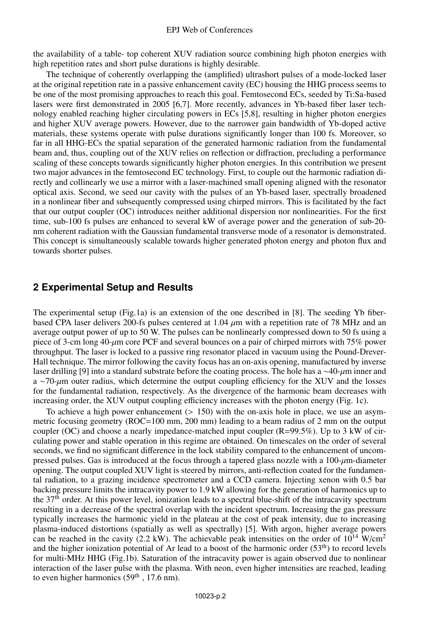the availability of a table- top coherent XUV radiation source combining high photon energies with high repetition rates and short pulse durations is highly desirable.

The technique of coherently overlapping the (amplified) ultrashort pulses of a mode-locked laser at the original repetition rate in a passive enhancement cavity (EC) housing the HHG process seems to be one of the most promising approaches to reach this goal. Femtosecond ECs, seeded by Ti:Sa-based lasers were first demonstrated in 2005 [6,7]. More recently, advances in Yb-based fiber laser technology enabled reaching higher circulating powers in ECs [5,8], resulting in higher photon energies and higher XUV average powers. However, due to the narrower gain bandwidth of Yb-doped active materials, these systems operate with pulse durations significantly longer than 100 fs. Moreover, so far in all HHG-ECs the spatial separation of the generated harmonic radiation from the fundamental beam and, thus, coupling out of the XUV relies on reflection or diffraction, precluding a performance scaling of these concepts towards significantly higher photon energies. In this contribution we present two major advances in the femtosecond EC technology. First, to couple out the harmonic radiation directly and collinearly we use a mirror with a laser-machined small opening aligned with the resonator optical axis. Second, we seed our cavity with the pulses of an Yb-based laser, spectrally broadened in a nonlinear fiber and subsequently compressed using chirped mirrors. This is facilitated by the fact that our output coupler (OC) introduces neither additional dispersion nor nonlinearities. For the first time, sub-100 fs pulses are enhanced to several kW of average power and the generation of sub-20 nm coherent radiation with the Gaussian fundamental transverse mode of a resonator is demonstrated. This concept is simultaneously scalable towards higher generated photon energy and photon flux and towards shorter pulses.

#### **2 Experimental Setup and Results**

The experimental setup (Fig.1a) is an extension of the one described in [8]. The seeding Yb fiberbased CPA laser delivers 200-fs pulses centered at  $1.04 \mu m$  with a repetition rate of 78 MHz and an average output power of up to 50 W. The pulses can be nonlinearly compressed down to 50 fs using a piece of 3-cm long 40-µm core PCF and several bounces on a pair of chirped mirrors with 75% power throughput. The laser is locked to a passive ring resonator placed in vacuum using the Pound-Drever-Hall technique. The mirror following the cavity focus has an on-axis opening, manufactured by inverse laser drilling [9] into a standard substrate before the coating process. The hole has a ∼40-µm inner and a ∼70- $\mu$ m outer radius, which determine the output coupling efficiency for the XUV and the losses for the fundamental radiation, respectively. As the divergence of the harmonic beam decreases with increasing order, the XUV output coupling efficiency increases with the photon energy (Fig. 1c).

To achieve a high power enhancement  $(> 150)$  with the on-axis hole in place, we use an asymmetric focusing geometry (ROC=100 mm, 200 mm) leading to a beam radius of 2 mm on the output coupler (OC) and choose a nearly impedance-matched input coupler  $(R=99.5\%)$ . Up to 3 kW of circulating power and stable operation in this regime are obtained. On timescales on the order of several seconds, we find no significant difference in the lock stability compared to the enhancement of uncompressed pulses. Gas is introduced at the focus through a tapered glass nozzle with a 100- $\mu$ m-diameter opening. The output coupled XUV light is steered by mirrors, anti-reflection coated for the fundamental radiation, to a grazing incidence spectrometer and a CCD camera. Injecting xenon with 0.5 bar backing pressure limits the intracavity power to 1.9 kW allowing for the generation of harmonics up to the  $37<sup>th</sup>$  order. At this power level, ionization leads to a spectral blue-shift of the intracavity spectrum resulting in a decrease of the spectral overlap with the incident spectrum. Increasing the gas pressure typically increases the harmonic yield in the plateau at the cost of peak intensity, due to increasing plasma-induced distortions (spatially as well as spectrally) [5]. With argon, higher average powers can be reached in the cavity (2.2 kW). The achievable peak intensities on the order of  $10^{14}$  W/cm<sup>2</sup> and the higher ionization potential of Ar lead to a boost of the harmonic order  $(53<sup>th</sup>)$  to record levels for multi-MHz HHG (Fig.1b). Saturation of the intracavity power is again observed due to nonlinear interaction of the laser pulse with the plasma. With neon, even higher intensities are reached, leading to even higher harmonics  $(59<sup>th</sup>$ , 17.6 nm).